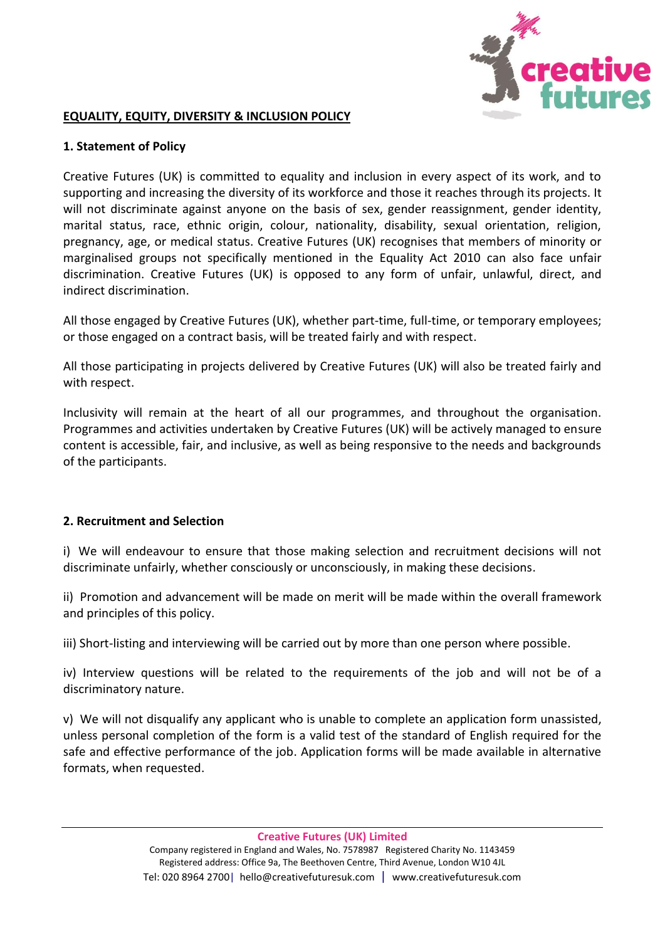

## **EQUALITY, EQUITY, DIVERSITY & INCLUSION POLICY**

## **1. Statement of Policy**

Creative Futures (UK) is committed to equality and inclusion in every aspect of its work, and to supporting and increasing the diversity of its workforce and those it reaches through its projects. It will not discriminate against anyone on the basis of sex, gender reassignment, gender identity, marital status, race, ethnic origin, colour, nationality, disability, sexual orientation, religion, pregnancy, age, or medical status. Creative Futures (UK) recognises that members of minority or marginalised groups not specifically mentioned in the Equality Act 2010 can also face unfair discrimination. Creative Futures (UK) is opposed to any form of unfair, unlawful, direct, and indirect discrimination.

All those engaged by Creative Futures (UK), whether part-time, full-time, or temporary employees; or those engaged on a contract basis, will be treated fairly and with respect.

All those participating in projects delivered by Creative Futures (UK) will also be treated fairly and with respect.

Inclusivity will remain at the heart of all our programmes, and throughout the organisation. Programmes and activities undertaken by Creative Futures (UK) will be actively managed to ensure content is accessible, fair, and inclusive, as well as being responsive to the needs and backgrounds of the participants.

## **2. Recruitment and Selection**

i) We will endeavour to ensure that those making selection and recruitment decisions will not discriminate unfairly, whether consciously or unconsciously, in making these decisions.

ii) Promotion and advancement will be made on merit will be made within the overall framework and principles of this policy.

iii) Short-listing and interviewing will be carried out by more than one person where possible.

iv) Interview questions will be related to the requirements of the job and will not be of a discriminatory nature.

v) We will not disqualify any applicant who is unable to complete an application form unassisted, unless personal completion of the form is a valid test of the standard of English required for the safe and effective performance of the job. Application forms will be made available in alternative formats, when requested.